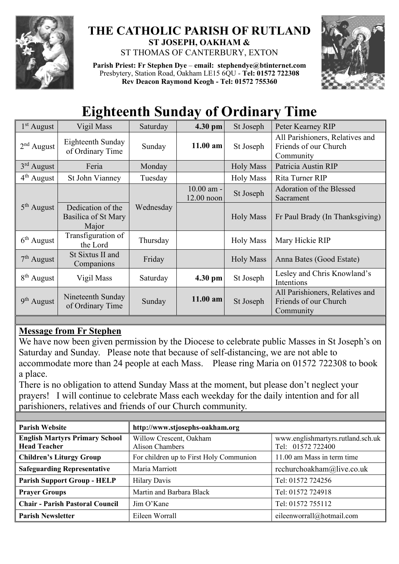

## **THE CATHOLIC PARISH OF RUTLAND ST JOSEPH, OAKHAM &**  ST THOMAS OF CANTERBURY, EXTON

**Parish Priest: Fr Stephen Dye** – **[email: stephendye@btinternet.com](mailto:email:%20%20stephendye@btinternet.com)** Presbytery, Station Road, Oakham LE15 6QU - **Tel: 01572 722308 Rev Deacon Raymond Keogh - Tel: 01572 755360**



## **Eighteenth Sunday of Ordinary Time**

| $1st$ August           | Vigil Mass                                        | Saturday  | 4.30 pm                      | St Joseph        | Peter Kearney RIP                                                     |  |
|------------------------|---------------------------------------------------|-----------|------------------------------|------------------|-----------------------------------------------------------------------|--|
| $2nd$ August           | Eighteenth Sunday<br>of Ordinary Time             | Sunday    | $11.00$ am                   | St Joseph        | All Parishioners, Relatives and<br>Friends of our Church<br>Community |  |
| $3rd$ August           | Feria                                             | Monday    |                              | <b>Holy Mass</b> | Patricia Austin RIP                                                   |  |
| $4th$ August           | St John Vianney                                   | Tuesday   |                              | <b>Holy Mass</b> | Rita Turner RIP                                                       |  |
|                        |                                                   |           | $10.00$ am -<br>$12.00$ noon | St Joseph        | Adoration of the Blessed<br>Sacrament                                 |  |
| $5th$ August           | Dedication of the<br>Basilica of St Mary<br>Major | Wednesday |                              | <b>Holy Mass</b> | Fr Paul Brady (In Thanksgiving)                                       |  |
| $6th$ August           | Transfiguration of<br>the Lord                    | Thursday  |                              | <b>Holy Mass</b> | Mary Hickie RIP                                                       |  |
| $7th$ August           | St Sixtus II and<br>Companions                    | Friday    |                              | <b>Holy Mass</b> | Anna Bates (Good Estate)                                              |  |
| $8th$ August           | Vigil Mass                                        | Saturday  | $4.30$ pm                    | St Joseph        | Lesley and Chris Knowland's<br>Intentions                             |  |
| 9 <sup>th</sup> August | Nineteenth Sunday<br>of Ordinary Time             | Sunday    | $11.00$ am                   | St Joseph        | All Parishioners, Relatives and<br>Friends of our Church<br>Community |  |

## **Message from Fr Stephen**

We have now been given permission by the Diocese to celebrate public Masses in St Joseph's on Saturday and Sunday. Please note that because of self-distancing, we are not able to accommodate more than 24 people at each Mass. Please ring Maria on 01572 722308 to book a place.

There is no obligation to attend Sunday Mass at the moment, but please don't neglect your prayers! I will continue to celebrate Mass each weekday for the daily intention and for all parishioners, relatives and friends of our Church community.

| <b>Parish Website</b>                                        | http://www.stjosephs-oakham.org            |                                                        |  |  |
|--------------------------------------------------------------|--------------------------------------------|--------------------------------------------------------|--|--|
| <b>English Martyrs Primary School</b><br><b>Head Teacher</b> | Willow Crescent, Oakham<br>Alison Chambers | www.englishmartyrs.rutland.sch.uk<br>Tel: 01572 722400 |  |  |
| <b>Children's Liturgy Group</b>                              | For children up to First Holy Communion    | 11.00 am Mass in term time                             |  |  |
| <b>Safeguarding Representative</b>                           | Maria Marriott                             | rcchurchoakham@live.co.uk                              |  |  |
| <b>Parish Support Group - HELP</b>                           | <b>Hilary Davis</b>                        | Tel: 01572 724256                                      |  |  |
| <b>Prayer Groups</b>                                         | Martin and Barbara Black                   | Tel: 01572 724918                                      |  |  |
| <b>Chair - Parish Pastoral Council</b>                       | Jim O'Kane                                 | Tel: 01572 755112                                      |  |  |
| <b>Parish Newsletter</b>                                     | Eileen Worrall                             | eileenworrall@hotmail.com                              |  |  |